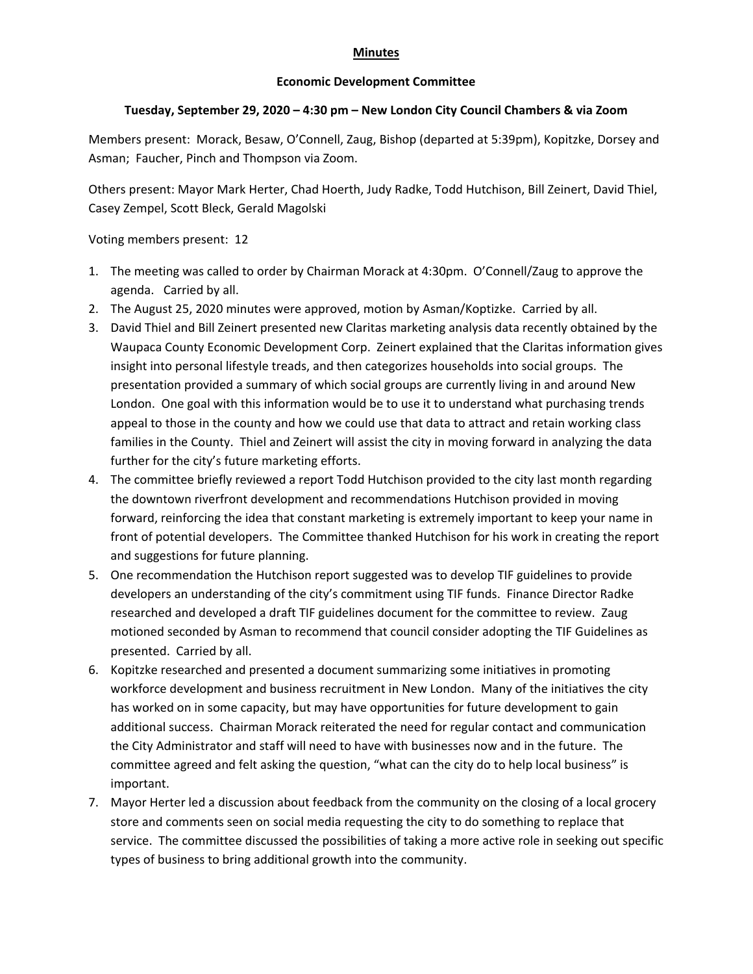## **Minutes**

## **Economic Development Committee**

## **Tuesday, September 29, 2020 – 4:30 pm – New London City Council Chambers & via Zoom**

Members present: Morack, Besaw, O'Connell, Zaug, Bishop (departed at 5:39pm), Kopitzke, Dorsey and Asman; Faucher, Pinch and Thompson via Zoom.

Others present: Mayor Mark Herter, Chad Hoerth, Judy Radke, Todd Hutchison, Bill Zeinert, David Thiel, Casey Zempel, Scott Bleck, Gerald Magolski

Voting members present: 12

- 1. The meeting was called to order by Chairman Morack at 4:30pm. O'Connell/Zaug to approve the agenda. Carried by all.
- 2. The August 25, 2020 minutes were approved, motion by Asman/Koptizke. Carried by all.
- 3. David Thiel and Bill Zeinert presented new Claritas marketing analysis data recently obtained by the Waupaca County Economic Development Corp. Zeinert explained that the Claritas information gives insight into personal lifestyle treads, and then categorizes households into social groups. The presentation provided a summary of which social groups are currently living in and around New London. One goal with this information would be to use it to understand what purchasing trends appeal to those in the county and how we could use that data to attract and retain working class families in the County. Thiel and Zeinert will assist the city in moving forward in analyzing the data further for the city's future marketing efforts.
- 4. The committee briefly reviewed a report Todd Hutchison provided to the city last month regarding the downtown riverfront development and recommendations Hutchison provided in moving forward, reinforcing the idea that constant marketing is extremely important to keep your name in front of potential developers. The Committee thanked Hutchison for his work in creating the report and suggestions for future planning.
- 5. One recommendation the Hutchison report suggested was to develop TIF guidelines to provide developers an understanding of the city's commitment using TIF funds. Finance Director Radke researched and developed a draft TIF guidelines document for the committee to review. Zaug motioned seconded by Asman to recommend that council consider adopting the TIF Guidelines as presented. Carried by all.
- 6. Kopitzke researched and presented a document summarizing some initiatives in promoting workforce development and business recruitment in New London. Many of the initiatives the city has worked on in some capacity, but may have opportunities for future development to gain additional success. Chairman Morack reiterated the need for regular contact and communication the City Administrator and staff will need to have with businesses now and in the future. The committee agreed and felt asking the question, "what can the city do to help local business" is important.
- 7. Mayor Herter led a discussion about feedback from the community on the closing of a local grocery store and comments seen on social media requesting the city to do something to replace that service. The committee discussed the possibilities of taking a more active role in seeking out specific types of business to bring additional growth into the community.